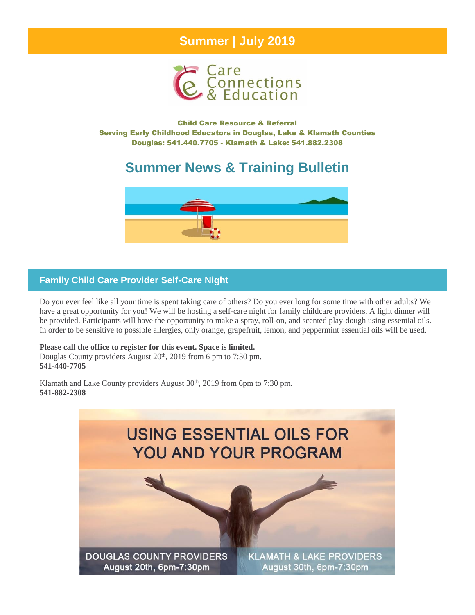# **Summer | July 2019**



Child Care Resource & Referral Serving Early Childhood Educators in Douglas, Lake & Klamath Counties Douglas: 541.440.7705 - Klamath & Lake: 541.882.2308

# **Summer News & Training Bulletin**



### **Family Child Care Provider Self-Care Night**

Do you ever feel like all your time is spent taking care of others? Do you ever long for some time with other adults? We have a great opportunity for you! We will be hosting a self-care night for family childcare providers. A light dinner will be provided. Participants will have the opportunity to make a spray, roll-on, and scented play-dough using essential oils. In order to be sensitive to possible allergies, only orange, grapefruit, lemon, and peppermint essential oils will be used.

**Please call the office to register for this event. Space is limited.** Douglas County providers August 20<sup>th</sup>, 2019 from 6 pm to 7:30 pm. **541-440-7705**

Klamath and Lake County providers August 30<sup>th</sup>, 2019 from 6pm to 7:30 pm. **541-882-2308**

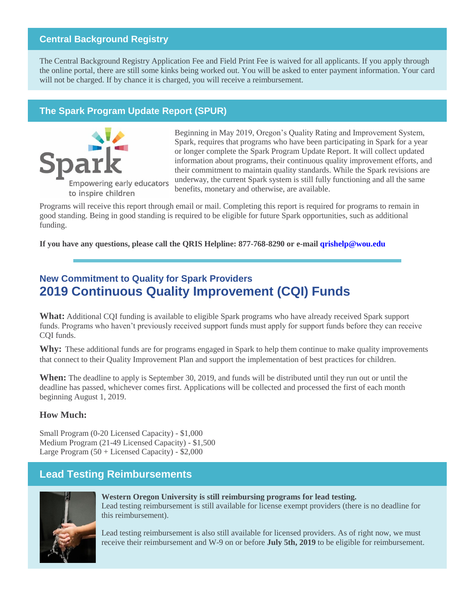#### **Central Background Registry**

The Central Background Registry Application Fee and Field Print Fee is waived for all applicants. If you apply through the online portal, there are still some kinks being worked out. You will be asked to enter payment information. Your card will not be charged. If by chance it is charged, you will receive a reimbursement.

#### **The Spark Program Update Report (SPUR)**



Beginning in May 2019, Oregon's Quality Rating and Improvement System, Spark, requires that programs who have been participating in Spark for a year or longer complete the Spark Program Update Report. It will collect updated information about programs, their continuous quality improvement efforts, and their commitment to maintain quality standards. While the Spark revisions are underway, the current Spark system is still fully functioning and all the same benefits, monetary and otherwise, are available.

Programs will receive this report through email or mail. Completing this report is required for programs to remain in good standing. Being in good standing is required to be eligible for future Spark opportunities, such as additional funding.

**If you have any questions, please call the QRIS Helpline: 877-768-8290 or e-mail [qrishelp@wou.edu](mailto:qrishelp@wou.edu)**

## **New Commitment to Quality for Spark Providers 2019 Continuous Quality Improvement (CQI) Funds**

**What:** Additional CQI funding is available to eligible Spark programs who have already received Spark support funds. Programs who haven't previously received support funds must apply for support funds before they can receive CQI funds.

**Why:** These additional funds are for programs engaged in Spark to help them continue to make quality improvements that connect to their Quality Improvement Plan and support the implementation of best practices for children.

**When:** The deadline to apply is September 30, 2019, and funds will be distributed until they run out or until the deadline has passed, whichever comes first. Applications will be collected and processed the first of each month beginning August 1, 2019.

#### **How Much:**

Small Program (0-20 Licensed Capacity) - \$1,000 Medium Program (21-49 Licensed Capacity) - \$1,500 Large Program (50 + Licensed Capacity) - \$2,000

## **Lead Testing Reimbursements**



**Western Oregon University is still reimbursing programs for lead testing.** Lead testing reimbursement is still available for license exempt providers (there is no deadline for this reimbursement).

Lead testing reimbursement is also still available for licensed providers. As of right now, we must receive their reimbursement and W-9 on or before **July 5th, 2019** to be eligible for reimbursement.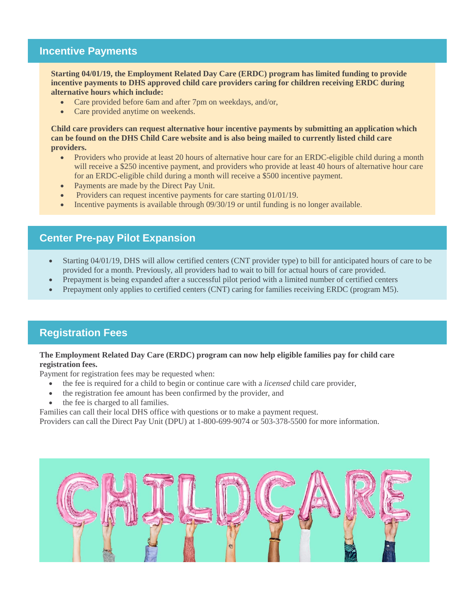### **Incentive Payments**

**Starting 04/01/19, the Employment Related Day Care (ERDC) program has limited funding to provide incentive payments to DHS approved child care providers caring for children receiving ERDC during alternative hours which include:**

- Care provided before 6am and after 7pm on weekdays, and/or,
- Care provided anytime on weekends.

**Child care providers can request alternative hour incentive payments by submitting an application which can be found on the DHS Child Care website and is also being mailed to currently listed child care providers.**

- Providers who provide at least 20 hours of alternative hour care for an ERDC-eligible child during a month will receive a \$250 incentive payment, and providers who provide at least 40 hours of alternative hour care for an ERDC-eligible child during a month will receive a \$500 incentive payment.
- Payments are made by the Direct Pay Unit.
- Providers can request incentive payments for care starting 01/01/19.
- Incentive payments is available through 09/30/19 or until funding is no longer available.

## **Center Pre-pay Pilot Expansion**

- Starting 04/01/19, DHS will allow certified centers (CNT provider type) to bill for anticipated hours of care to be provided for a month. Previously, all providers had to wait to bill for actual hours of care provided.
- Prepayment is being expanded after a successful pilot period with a limited number of certified centers
- Prepayment only applies to certified centers (CNT) caring for families receiving ERDC (program M5).

## **Registration Fees**

**The Employment Related Day Care (ERDC) program can now help eligible families pay for child care registration fees.**

Payment for registration fees may be requested when:

- the fee is required for a child to begin or continue care with a *licensed* child care provider,
- the registration fee amount has been confirmed by the provider, and
- the fee is charged to all families.

Families can call their local DHS office with questions or to make a payment request.

Providers can call the Direct Pay Unit (DPU) at 1-800-699-9074 or 503-378-5500 for more information.